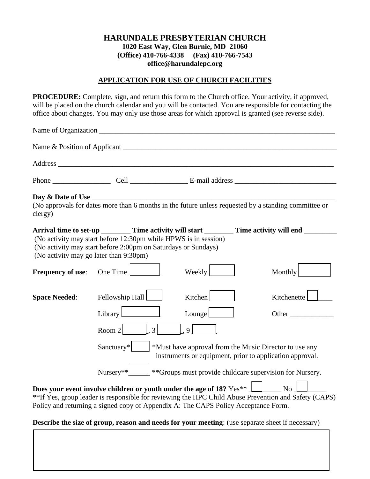# **HARUNDALE PRESBYTERIAN CHURCH 1020 East Way, Glen Burnie, MD 21060 (Office) 410-766-4338 (Fax) 410-766-7543 [office@harundalepc.org](mailto:office@harundalepc.org)**

#### **APPLICATION FOR USE OF CHURCH FACILITIES**

**PROCEDURE:** Complete, sign, and return this form to the Church office. Your activity, if approved, will be placed on the church calendar and you will be contacted. You are responsible for contacting the office about changes. You may only use those areas for which approval is granted (see reverse side).

| Day & Date of Use<br>clergy)           |                                                                                                                                              |                                                                                                                                                                               | Day $\&$ Date of Use $\frac{1}{\sqrt{1-\frac{1}{n}}}$<br>(No approvals for dates more than 6 months in the future unless requested by a standing committee or |  |
|----------------------------------------|----------------------------------------------------------------------------------------------------------------------------------------------|-------------------------------------------------------------------------------------------------------------------------------------------------------------------------------|---------------------------------------------------------------------------------------------------------------------------------------------------------------|--|
| (No activity may go later than 9:30pm) | (No activity may start before 12:30pm while HPWS is in session)<br>(No activity may start before 2:00pm on Saturdays or Sundays)             |                                                                                                                                                                               | Arrival time to set-up __________ Time activity will start _________ Time activity will end ________                                                          |  |
| <b>Frequency of use:</b>               | One Time $\lfloor$                                                                                                                           | Weekly                                                                                                                                                                        | Monthly                                                                                                                                                       |  |
| <b>Space Needed:</b>                   | Fellowship Hall<br>Library<br>$\vert .3 \vert$<br>Room $2$                                                                                   | Kitchen<br>Lounge $\Box$<br>9                                                                                                                                                 | Kitchenette<br>Other                                                                                                                                          |  |
|                                        | Sanctuary*<br><sup>*</sup> Must have approval from the Music Director to use any<br>instruments or equipment, prior to application approval. |                                                                                                                                                                               |                                                                                                                                                               |  |
|                                        | $\perp$ **Groups must provide childcare supervision for Nursery.<br>$Nursery**$                                                              |                                                                                                                                                                               |                                                                                                                                                               |  |
|                                        |                                                                                                                                              | Does your event involve children or youth under the age of 18? $Yes**$ $\Box$ No $\Box$<br>Policy and returning a signed copy of Appendix A: The CAPS Policy Acceptance Form. | ** If Yes, group leader is responsible for reviewing the HPC Child Abuse Prevention and Safety (CAPS)                                                         |  |

### **Describe the size of group, reason and needs for your meeting**: (use separate sheet if necessary)